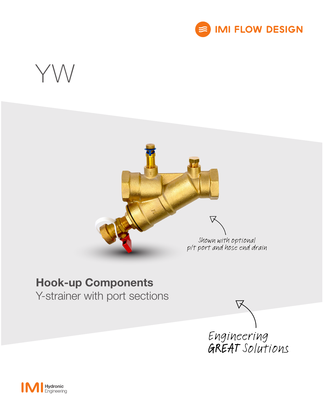

# YW



### Hook-up Components

Y-strainer with port sections



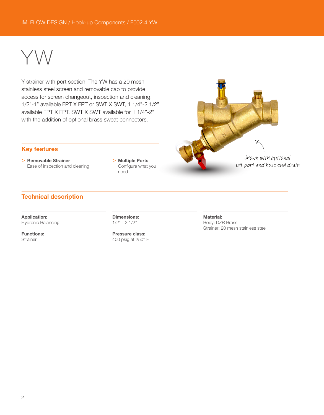## YW

Y-strainer with port section. The YW has a 20 mesh stainless steel screen and removable cap to provide access for screen changeout, inspection and cleaning. 1/2"-1" available FPT X FPT or SWT X SWT, 1 1/4"-2 1/2" available FPT X FPT. SWT X SWT available for 1 1/4"-2" with the addition of optional brass sweat connectors.



#### Key features

> Removable Strainer Ease of inspection and cleaning > Multiple Ports Configure what you need

#### Technical description

Application: Hydronic Balancing

Functions: **Strainer** 

Dimensions: 1/2" - 2 1/2"

Pressure class: 400 psig at 250° F Material: Body: DZR Brass Strainer: 20 mesh stainless steel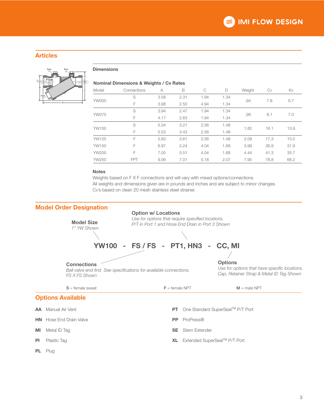#### Articles



#### **Dimensions**

#### Nominal Dimensions & Weights / Cv Rates

| Model | Connections | A    | B    | С    | D    | Weight | Cv   | Kv   |
|-------|-------------|------|------|------|------|--------|------|------|
| YW050 | S           | 3.58 | 2.31 | 1.94 | 1.34 | .94    | 7.8  | 6.7  |
|       | F           | 3.98 | 2.50 | 4.94 | 1.34 |        |      |      |
| YW075 | S           | 3.94 | 2.47 | 1.94 | 1.34 | .99    | 8.1  | 7.0  |
|       | F           | 4.17 | 2.63 | 1.94 | 1.34 |        |      |      |
| YW100 | S           | 5.34 | 3.21 | 2.56 | 1.48 | 1.82   | 16.1 | 13.9 |
|       | F           | 5.53 | 3.43 | 2.56 | 1.48 |        |      |      |
| YW125 | F           | 5.83 | 3.61 | 2.56 | 1.48 | 2.09   | 17.3 | 15.0 |
| YW150 | F           | 6.97 | 5.24 | 4.04 | 1.68 | 3.99   | 36.9 | 31.9 |
| YW200 | F           | 7.05 | 5.51 | 4.04 | 1.68 | 4.44   | 41.3 | 35.7 |
| YW250 | <b>FPT</b>  | 9.06 | 7.01 | 5.18 | 2.07 | 7.95   | 78.8 | 68.2 |

#### Notes

Weights based on F X F connections and will vary with mixed options/connections. All weights and dimensions given are in pounds and inches and are subject to minor changes. Cv's based on clean 20 mesh stainless steel strainer.